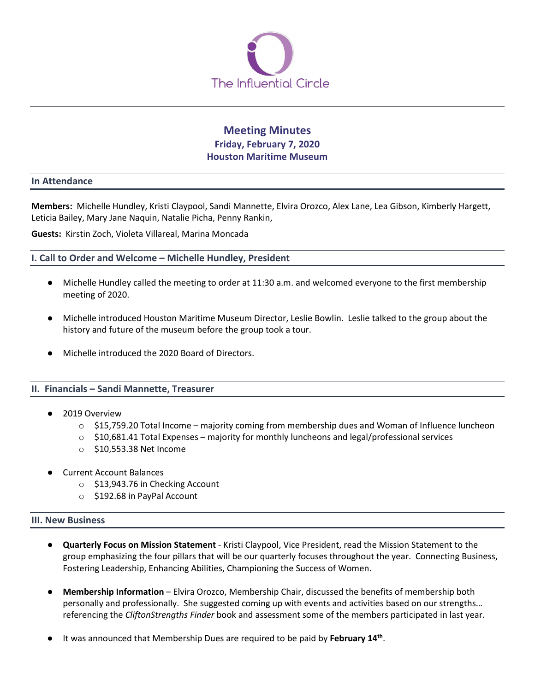

# **Meeting Minutes Friday, February 7, 2020 Houston Maritime Museum**

#### **In Attendance**

**Members:** Michelle Hundley, Kristi Claypool, Sandi Mannette, Elvira Orozco, Alex Lane, Lea Gibson, Kimberly Hargett, Leticia Bailey, Mary Jane Naquin, Natalie Picha, Penny Rankin,

**Guests:** Kirstin Zoch, Violeta Villareal, Marina Moncada

## **I. Call to Order and Welcome – Michelle Hundley, President**

- Michelle Hundley called the meeting to order at 11:30 a.m. and welcomed everyone to the first membership meeting of 2020.
- Michelle introduced Houston Maritime Museum Director, Leslie Bowlin. Leslie talked to the group about the history and future of the museum before the group took a tour.
- Michelle introduced the 2020 Board of Directors.

## **II. Financials – Sandi Mannette, Treasurer**

- 2019 Overview
	- $\circ$  \$15,759.20 Total Income majority coming from membership dues and Woman of Influence luncheon
	- $\circ$  \$10,681.41 Total Expenses majority for monthly luncheons and legal/professional services
	- o \$10,553.38 Net Income
- **Current Account Balances** 
	- o \$13,943.76 in Checking Account
	- o \$192.68 in PayPal Account

#### **III. New Business**

- **Quarterly Focus on Mission Statement** Kristi Claypool, Vice President, read the Mission Statement to the group emphasizing the four pillars that will be our quarterly focuses throughout the year. Connecting Business, Fostering Leadership, Enhancing Abilities, Championing the Success of Women.
- **Membership Information** Elvira Orozco, Membership Chair, discussed the benefits of membership both personally and professionally. She suggested coming up with events and activities based on our strengths… referencing the *CliftonStrengths Finder* book and assessment some of the members participated in last year.
- It was announced that Membership Dues are required to be paid by February 14<sup>th</sup>.